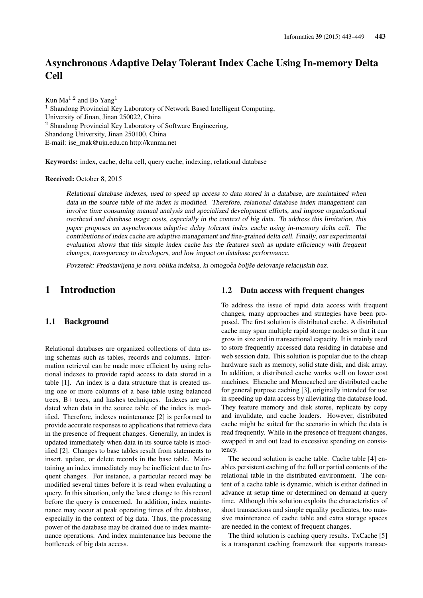# Asynchronous Adaptive Delay Tolerant Index Cache Using In-memory Delta Cell

Kun Ma<sup>1,2</sup> and Bo Yang<sup>1</sup> <sup>1</sup> Shandong Provincial Key Laboratory of Network Based Intelligent Computing, University of Jinan, Jinan 250022, China <sup>2</sup> Shandong Provincial Key Laboratory of Software Engineering, Shandong University, Jinan 250100, China E-mail: ise\_mak@ujn.edu.cn http://kunma.net

Keywords: index, cache, delta cell, query cache, indexing, relational database

Received: October 8, 2015

Relational database indexes, used to speed up access to data stored in a database, are maintained when data in the source table of the index is modified. Therefore, relational database index management can involve time consuming manual analysis and specialized development efforts, and impose organizational overhead and database usage costs, especially in the context of big data. To address this limitation, this paper proposes an asynchronous adaptive delay tolerant index cache using in-memory delta cell. The contributions of index cache are adaptive management and fine-grained delta cell. Finally, our experimental evaluation shows that this simple index cache has the features such as update efficiency with frequent changes, transparency to developers, and low impact on database performance.

Povzetek: Predstavljena je nova oblika indeksa, ki omogoča boljše delovanje relacijskih baz.

# 1 Introduction

# 1.1 Background

Relational databases are organized collections of data using schemas such as tables, records and columns. Information retrieval can be made more efficient by using relational indexes to provide rapid access to data stored in a table [1]. An index is a data structure that is created using one or more columns of a base table using balanced trees, B+ trees, and hashes techniques. Indexes are updated when data in the source table of the index is modified. Therefore, indexes maintenance [2] is performed to provide accurate responses to applications that retrieve data in the presence of frequent changes. Generally, an index is updated immediately when data in its source table is modified [2]. Changes to base tables result from statements to insert, update, or delete records in the base table. Maintaining an index immediately may be inefficient due to frequent changes. For instance, a particular record may be modified several times before it is read when evaluating a query. In this situation, only the latest change to this record before the query is concerned. In addition, index maintenance may occur at peak operating times of the database, especially in the context of big data. Thus, the processing power of the database may be drained due to index maintenance operations. And index maintenance has become the bottleneck of big data access.

# 1.2 Data access with frequent changes

To address the issue of rapid data access with frequent changes, many approaches and strategies have been proposed. The first solution is distributed cache. A distributed cache may span multiple rapid storage nodes so that it can grow in size and in transactional capacity. It is mainly used to store frequently accessed data residing in database and web session data. This solution is popular due to the cheap hardware such as memory, solid state disk, and disk array. In addition, a distributed cache works well on lower cost machines. Ehcache and Memcached are distributed cache for general purpose caching [3], originally intended for use in speeding up data access by alleviating the database load. They feature memory and disk stores, replicate by copy and invalidate, and cache loaders. However, distributed cache might be suited for the scenario in which the data is read frequently. While in the presence of frequent changes, swapped in and out lead to excessive spending on consistency.

The second solution is cache table. Cache table [4] enables persistent caching of the full or partial contents of the relational table in the distributed environment. The content of a cache table is dynamic, which is either defined in advance at setup time or determined on demand at query time. Although this solution exploits the characteristics of short transactions and simple equality predicates, too massive maintenance of cache table and extra storage spaces are needed in the context of frequent changes.

The third solution is caching query results. TxCache [5] is a transparent caching framework that supports transac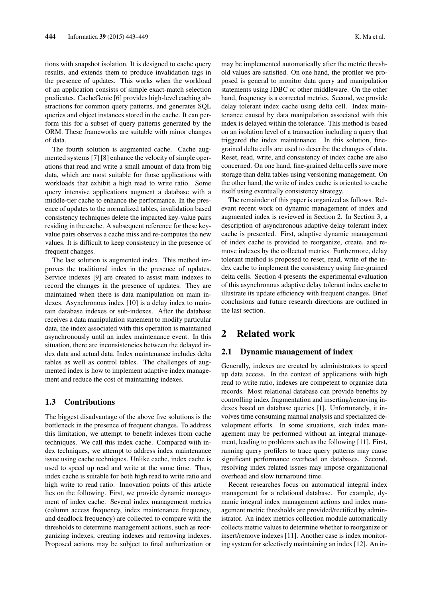tions with snapshot isolation. It is designed to cache query results, and extends them to produce invalidation tags in the presence of updates. This works when the workload of an application consists of simple exact-match selection predicates. CacheGenie [6] provides high-level caching abstractions for common query patterns, and generates SQL queries and object instances stored in the cache. It can perform this for a subset of query patterns generated by the ORM. These frameworks are suitable with minor changes of data.

The fourth solution is augmented cache. Cache augmented systems [7] [8] enhance the velocity of simple operations that read and write a small amount of data from big data, which are most suitable for those applications with workloads that exhibit a high read to write ratio. Some query intensive applications augment a database with a middle-tier cache to enhance the performance. In the presence of updates to the normalized tables, invalidation based consistency techniques delete the impacted key-value pairs residing in the cache. A subsequent reference for these keyvalue pairs observes a cache miss and re-computes the new values. It is difficult to keep consistency in the presence of frequent changes.

The last solution is augmented index. This method improves the traditional index in the presence of updates. Service indexes [9] are created to assist main indexes to record the changes in the presence of updates. They are maintained when there is data manipulation on main indexes. Asynchronous index [10] is a delay index to maintain database indexes or sub-indexes. After the database receives a data manipulation statement to modify particular data, the index associated with this operation is maintained asynchronously until an index maintenance event. In this situation, there are inconsistencies between the delayed index data and actual data. Index maintenance includes delta tables as well as control tables. The challenges of augmented index is how to implement adaptive index management and reduce the cost of maintaining indexes.

# 1.3 Contributions

The biggest disadvantage of the above five solutions is the bottleneck in the presence of frequent changes. To address this limitation, we attempt to benefit indexes from cache techniques. We call this index cache. Compared with index techniques, we attempt to address index maintenance issue using cache techniques. Unlike cache, index cache is used to speed up read and write at the same time. Thus, index cache is suitable for both high read to write ratio and high write to read ratio. Innovation points of this article lies on the following. First, we provide dynamic management of index cache. Several index management metrics (column access frequency, index maintenance frequency, and deadlock frequency) are collected to compare with the thresholds to determine management actions, such as reorganizing indexes, creating indexes and removing indexes. Proposed actions may be subject to final authorization or may be implemented automatically after the metric threshold values are satisfied. On one hand, the profiler we proposed is general to monitor data query and manipulation statements using JDBC or other middleware. On the other hand, frequency is a corrected metrics. Second, we provide delay tolerant index cache using delta cell. Index maintenance caused by data manipulation associated with this index is delayed within the tolerance. This method is based on an isolation level of a transaction including a query that triggered the index maintenance. In this solution, finegrained delta cells are used to describe the changes of data. Reset, read, write, and consistency of index cache are also concerned. On one hand, fine-grained delta cells save more storage than delta tables using versioning management. On the other hand, the write of index cache is oriented to cache itself using eventually consistency strategy.

The remainder of this paper is organized as follows. Relevant recent work on dynamic management of index and augmented index is reviewed in Section 2. In Section 3, a description of asynchronous adaptive delay tolerant index cache is presented. First, adaptive dynamic management of index cache is provided to reorganize, create, and remove indexes by the collected metrics. Furthermore, delay tolerant method is proposed to reset, read, write of the index cache to implement the consistency using fine-grained delta cells. Section 4 presents the experimental evaluation of this asynchronous adaptive delay tolerant index cache to illustrate its update efficiency with frequent changes. Brief conclusions and future research directions are outlined in the last section.

# 2 Related work

# 2.1 Dynamic management of index

Generally, indexes are created by administrators to speed up data access. In the context of applications with high read to write ratio, indexes are competent to organize data records. Most relational database can provide benefits by controlling index fragmentation and inserting/removing indexes based on database queries [1]. Unfortunately, it involves time consuming manual analysis and specialized development efforts. In some situations, such index management may be performed without an integral management, leading to problems such as the following [11]. First, running query profilers to trace query patterns may cause significant performance overhead on databases. Second, resolving index related issues may impose organizational overhead and slow turnaround time.

Recent researches focus on automatical integral index management for a relational database. For example, dynamic integral index management actions and index management metric thresholds are provided/rectified by administrator. An index metrics collection module automatically collects metric values to determine whether to reorganize or insert/remove indexes [11]. Another case is index monitoring system for selectively maintaining an index [12]. An in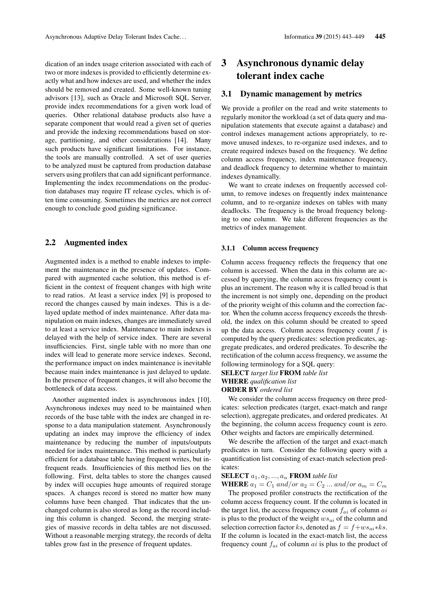dication of an index usage criterion associated with each of two or more indexes is provided to efficiently determine exactly what and how indexes are used, and whether the index should be removed and created. Some well-known tuning advisors [13], such as Oracle and Microsoft SQL Server, provide index recommendations for a given work load of queries. Other relational database products also have a separate component that would read a given set of queries and provide the indexing recommendations based on storage, partitioning, and other considerations [14]. Many such products have significant limitations. For instance, the tools are manually controlled. A set of user queries to be analyzed must be captured from production database servers using profilers that can add significant performance. Implementing the index recommendations on the production databases may require IT release cycles, which is often time consuming. Sometimes the metrics are not correct enough to conclude good guiding significance.

# 2.2 Augmented index

Augmented index is a method to enable indexes to implement the maintenance in the presence of updates. Compared with augmented cache solution, this method is efficient in the context of frequent changes with high write to read ratios. At least a service index [9] is proposed to record the changes caused by main indexes. This is a delayed update method of index maintenance. After data manipulation on main indexes, changes are immediately saved to at least a service index. Maintenance to main indexes is delayed with the help of service index. There are several insufficiencies. First, single table with no more than one index will lead to generate more service indexes. Second, the performance impact on index maintenance is inevitable because main index maintenance is just delayed to update. In the presence of frequent changes, it will also become the bottleneck of data access.

Another augmented index is asynchronous index [10]. Asynchronous indexes may need to be maintained when records of the base table with the index are changed in response to a data manipulation statement. Asynchronously updating an index may improve the efficiency of index maintenance by reducing the number of inputs/outputs needed for index maintenance. This method is particularly efficient for a database table having frequent writes, but infrequent reads. Insufficiencies of this method lies on the following. First, delta tables to store the changes caused by index will occupies huge amounts of required storage spaces. A changes record is stored no matter how many columns have been changed. That indicates that the unchanged column is also stored as long as the record including this column is changed. Second, the merging strategies of massive records in delta tables are not discussed. Without a reasonable merging strategy, the records of delta tables grow fast in the presence of frequent updates.

# 3 Asynchronous dynamic delay tolerant index cache

### 3.1 Dynamic management by metrics

We provide a profiler on the read and write statements to regularly monitor the workload (a set of data query and manipulation statements that execute against a database) and control indexes management actions appropriately, to remove unused indexes, to re-organize used indexes, and to create required indexes based on the frequency. We define column access frequency, index maintenance frequency, and deadlock frequency to determine whether to maintain indexes dynamically.

We want to create indexes on frequently accessed column, to remove indexes on frequently index maintenance column, and to re-organize indexes on tables with many deadlocks. The frequency is the broad frequency belonging to one column. We take different frequencies as the metrics of index management.

#### 3.1.1 Column access frequency

Column access frequency reflects the frequency that one column is accessed. When the data in this column are accessed by querying, the column access frequency count is plus an increment. The reason why it is called broad is that the increment is not simply one, depending on the product of the priority weight of this column and the correction factor. When the column access frequency exceeds the threshold, the index on this column should be created to speed up the data access. Column access frequency count  $f$  is computed by the query predicates: selection predicates, aggregate predicates, and ordered predicates. To describe the rectification of the column access frequency, we assume the following terminology for a SQL query:

#### SELECT *target list* FROM *table list*

# WHERE *qualification list*

# ORDER BY *ordered list*

We consider the column access frequency on three predicates: selection predicates (target, exact-match and range selection), aggregate predicates, and ordered predicates. At the beginning, the column access frequency count is zero. Other weights and factors are empirically determined.

We describe the affection of the target and exact-match predicates in turn. Consider the following query with a quantification list consisting of exact-match selection predicates:

#### **SELECT**  $a_1, a_2, ..., a_n$  **FROM** table list

WHERE  $a_1 = C_1$  and/or  $a_2 = C_2$  ... and/or  $a_m = C_m$ 

The proposed profiler constructs the rectification of the column access frequency count. If the column is located in the target list, the access frequency count  $f_{ai}$  of column  $ai$ is plus to the product of the weight  $ws_{ai}$  of the column and selection correction factor ks, denoted as  $f = f + w s_{ai} * k s$ . If the column is located in the exact-match list, the access frequency count  $f_{ai}$  of column  $ai$  is plus to the product of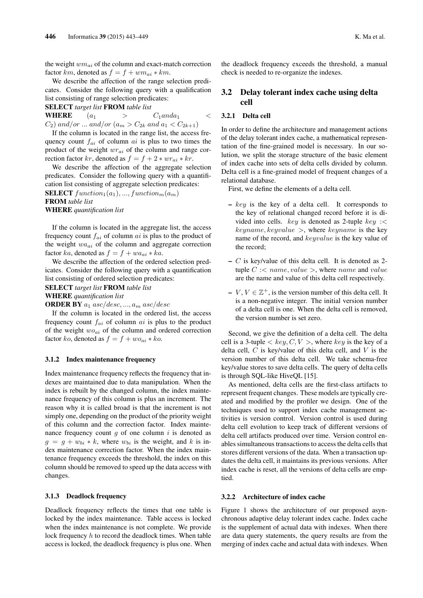the weight  $wm_{ai}$  of the column and exact-match correction factor km, denoted as  $f = f + w m_{ai} * k m$ .

We describe the affection of the range selection predicates. Consider the following query with a qualification list consisting of range selection predicates:

SELECT *target list* FROM *table list*

WHERE  $(a_1 \geq C_1 \text{ and } a_1 \leq$  $C_2$ ) and/or ... and/or  $(a_m > C_{2k}$  and  $a_1 < C_{2k+1})$ 

If the column is located in the range list, the access frequency count  $f_{ai}$  of column  $ai$  is plus to two times the product of the weight  $wr_{ai}$  of the column and range correction factor kr, denoted as  $f = f + 2 * wr_{ai} * kr$ .

We describe the affection of the aggregate selection predicates. Consider the following query with a quantification list consisting of aggregate selection predicates:

**SELECT** function<sub>1</sub>( $a_1$ ), ..., function<sub>m</sub>( $a_m$ ) FROM *table list* WHERE *quantification list*

If the column is located in the aggregate list, the access frequency count  $f_{ai}$  of column  $ai$  is plus to the product of the weight  $w a_{ai}$  of the column and aggregate correction factor ka, denoted as  $f = f + w a_{ai} * k a$ .

We describe the affection of the ordered selection predicates. Consider the following query with a quantification list consisting of ordered selection predicates:

SELECT *target list* FROM *table list*

WHERE *quantification list*

**ORDER BY**  $a_1$  asc/desc, ...,  $a_m$  asc/desc

If the column is located in the ordered list, the access frequency count  $f_{ai}$  of column  $ai$  is plus to the product of the weight  $wo_{ai}$  of the column and ordered correction factor ko, denoted as  $f = f + w o_{ai} * k o$ .

#### 3.1.2 Index maintenance frequency

Index maintenance frequency reflects the frequency that indexes are maintained due to data manipulation. When the index is rebuilt by the changed column, the index maintenance frequency of this column is plus an increment. The reason why it is called broad is that the increment is not simply one, depending on the product of the priority weight of this column and the correction factor. Index maintenance frequency count  $g$  of one column  $i$  is denoted as  $g = g + w_{bi} * k$ , where  $w_{bi}$  is the weight, and k is index maintenance correction factor. When the index maintenance frequency exceeds the threshold, the index on this column should be removed to speed up the data access with changes.

#### 3.1.3 Deadlock frequency

Deadlock frequency reflects the times that one table is locked by the index maintenance. Table access is locked when the index maintenance is not complete. We provide lock frequency h to record the deadlock times. When table access is locked, the deadlock frequency is plus one. When the deadlock frequency exceeds the threshold, a manual check is needed to re-organize the indexes.

# 3.2 Delay tolerant index cache using delta cell

#### 3.2.1 Delta cell

In order to define the architecture and management actions of the delay tolerant index cache, a mathematical representation of the fine-grained model is necessary. In our solution, we split the storage structure of the basic element of index cache into sets of delta cells divided by column. Delta cell is a fine-grained model of frequent changes of a relational database.

First, we define the elements of a delta cell.

- $-$  key is the key of a delta cell. It corresponds to the key of relational changed record before it is divided into cells. key is denoted as 2-tuple key : $\lt$  $keyname, keyvalue >$ , where  $keyname$  is the key name of the record, and *keyvalue* is the key value of the record;
- $-$  C is key/value of this delta cell. It is denoted as 2tuple  $C$  : < name, value >, where name and value are the name and value of this delta cell respectively.
- $V, V \in \mathbb{Z}^+$ , is the version number of this delta cell. It is a non-negative integer. The initial version number of a delta cell is one. When the delta cell is removed, the version number is set zero.

Second, we give the definition of a delta cell. The delta cell is a 3-tuple  $\langle key, C, V \rangle$ , where key is the key of a delta cell,  $C$  is key/value of this delta cell, and  $V$  is the version number of this delta cell. We take schema-free key/value stores to save delta cells. The query of delta cells is through SQL-like HiveQL [15].

As mentioned, delta cells are the first-class artifacts to represent frequent changes. These models are typically created and modified by the profiler we design. One of the techniques used to support index cache management activities is version control. Version control is used during delta cell evolution to keep track of different versions of delta cell artifacts produced over time. Version control enables simultaneous transactions to access the delta cells that stores different versions of the data. When a transaction updates the delta cell, it maintains its previous versions. After index cache is reset, all the versions of delta cells are emptied.

#### 3.2.2 Architecture of index cache

Figure 1 shows the architecture of our proposed asynchronous adaptive delay tolerant index cache. Index cache is the supplement of actual data with indexes. When there are data query statements, the query results are from the merging of index cache and actual data with indexes. When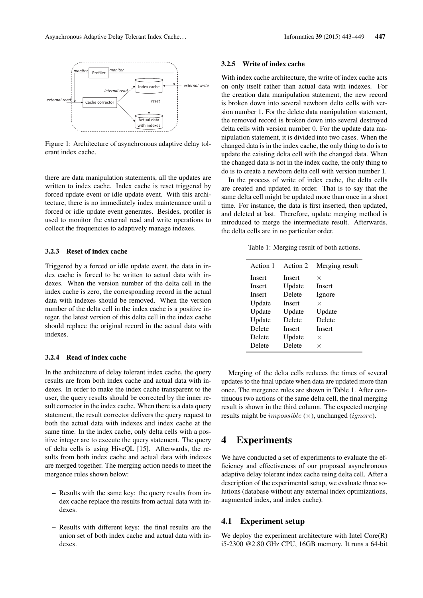

Figure 1: Architecture of asynchronous adaptive delay tolerant index cache.

there are data manipulation statements, all the updates are written to index cache. Index cache is reset triggered by forced update event or idle update event. With this architecture, there is no immediately index maintenance until a forced or idle update event generates. Besides, profiler is used to monitor the external read and write operations to collect the frequencies to adaptively manage indexes.

### 3.2.3 Reset of index cache

Triggered by a forced or idle update event, the data in index cache is forced to be written to actual data with indexes. When the version number of the delta cell in the index cache is zero, the corresponding record in the actual data with indexes should be removed. When the version number of the delta cell in the index cache is a positive integer, the latest version of this delta cell in the index cache should replace the original record in the actual data with indexes.

#### 3.2.4 Read of index cache

In the architecture of delay tolerant index cache, the query results are from both index cache and actual data with indexes. In order to make the index cache transparent to the user, the query results should be corrected by the inner result corrector in the index cache. When there is a data query statement, the result corrector delivers the query request to both the actual data with indexes and index cache at the same time. In the index cache, only delta cells with a positive integer are to execute the query statement. The query of delta cells is using HiveQL [15]. Afterwards, the results from both index cache and actual data with indexes are merged together. The merging action needs to meet the mergence rules shown below:

- Results with the same key: the query results from index cache replace the results from actual data with indexes.
- Results with different keys: the final results are the union set of both index cache and actual data with indexes.

#### 3.2.5 Write of index cache

With index cache architecture, the write of index cache acts on only itself rather than actual data with indexes. For the creation data manipulation statement, the new record is broken down into several newborn delta cells with version number 1. For the delete data manipulation statement, the removed record is broken down into several destroyed delta cells with version number 0. For the update data manipulation statement, it is divided into two cases. When the changed data is in the index cache, the only thing to do is to update the existing delta cell with the changed data. When the changed data is not in the index cache, the only thing to do is to create a newborn delta cell with version number 1.

In the process of write of index cache, the delta cells are created and updated in order. That is to say that the same delta cell might be updated more than once in a short time. For instance, the data is first inserted, then updated, and deleted at last. Therefore, update merging method is introduced to merge the intermediate result. Afterwards, the delta cells are in no particular order.

Table 1: Merging result of both actions.

| Action 1 | Action 2      | Merging result |
|----------|---------------|----------------|
| Insert   | <b>Insert</b> | ×              |
| Insert   | Update        | <b>Insert</b>  |
| Insert   | Delete        | Ignore         |
| Update   | Insert        | ×              |
| Update   | Update        | Update         |
| Update   | Delete        | Delete         |
| Delete   | <b>Insert</b> | Insert         |
| Delete   | Update        | X              |
| Delete   | Delete        | X              |

Merging of the delta cells reduces the times of several updates to the final update when data are updated more than once. The mergence rules are shown in Table 1. After continuous two actions of the same delta cell, the final merging result is shown in the third column. The expected merging results might be *impossible*  $(\times)$ , unchanged *(ignore)*.

# 4 Experiments

We have conducted a set of experiments to evaluate the efficiency and effectiveness of our proposed asynchronous adaptive delay tolerant index cache using delta cell. After a description of the experimental setup, we evaluate three solutions (database without any external index optimizations, augmented index, and index cache).

#### 4.1 Experiment setup

We deploy the experiment architecture with Intel Core(R) i5-2300 @2.80 GHz CPU, 16GB memory. It runs a 64-bit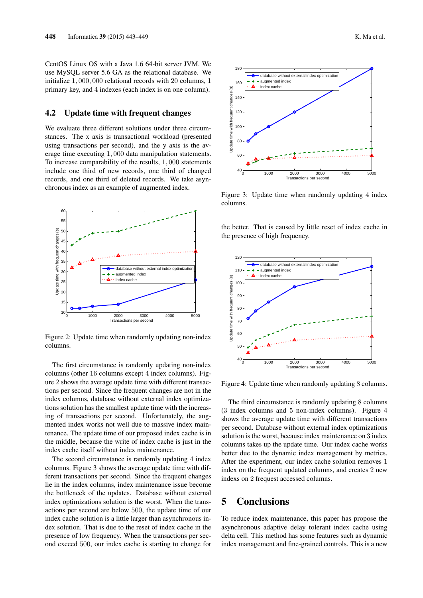CentOS Linux OS with a Java 1.6 64-bit server JVM. We use MySQL server 5.6 GA as the relational database. We initialize 1, 000, 000 relational records with 20 columns, 1 primary key, and 4 indexes (each index is on one column).

### 4.2 Update time with frequent changes

We evaluate three different solutions under three circumstances. The x axis is transactional workload (presented using transactions per second), and the y axis is the average time executing 1, 000 data manipulation statements. To increase comparability of the results, 1, 000 statements include one third of new records, one third of changed records, and one third of deleted records. We take asynchronous index as an example of augmented index.



Figure 2: Update time when randomly updating non-index columns.

The first circumstance is randomly updating non-index columns (other 16 columns except 4 index columns). Figure 2 shows the average update time with different transactions per second. Since the frequent changes are not in the index columns, database without external index optimizations solution has the smallest update time with the increasing of transactions per second. Unfortunately, the augmented index works not well due to massive index maintenance. The update time of our proposed index cache is in the middle, because the write of index cache is just in the index cache itself without index maintenance.

The second circumstance is randomly updating 4 index columns. Figure 3 shows the average update time with different transactions per second. Since the frequent changes lie in the index columns, index maintenance issue become the bottleneck of the updates. Database without external index optimizations solution is the worst. When the transactions per second are below 500, the update time of our index cache solution is a little larger than asynchronous index solution. That is due to the reset of index cache in the presence of low frequency. When the transactions per second exceed 500, our index cache is starting to change for



Figure 3: Update time when randomly updating 4 index columns.

the better. That is caused by little reset of index cache in the presence of high frequency.



Figure 4: Update time when randomly updating 8 columns.

The third circumstance is randomly updating 8 columns (3 index columns and 5 non-index columns). Figure 4 shows the average update time with different transactions per second. Database without external index optimizations solution is the worst, because index maintenance on 3 index columns takes up the update time. Our index cache works better due to the dynamic index management by metrics. After the experiment, our index cache solution removes 1 index on the frequent updated columns, and creates 2 new indexs on 2 frequest accessed columns.

# 5 Conclusions

To reduce index maintenance, this paper has propose the asynchronous adaptive delay tolerant index cache using delta cell. This method has some features such as dynamic index management and fine-grained controls. This is a new